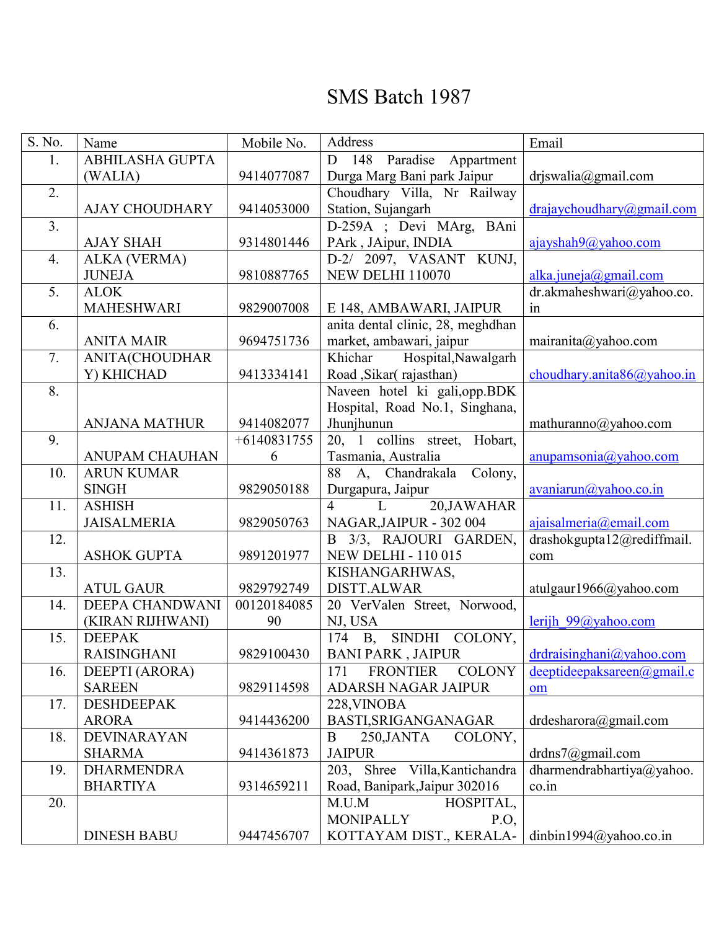## SMS Batch 1987

| S. No.           | Name                   | Mobile No.    | Address                                      | Email                                          |
|------------------|------------------------|---------------|----------------------------------------------|------------------------------------------------|
| 1.               | <b>ABHILASHA GUPTA</b> |               | D 148 Paradise Appartment                    |                                                |
|                  | (WALIA)                | 9414077087    | Durga Marg Bani park Jaipur                  | drjswalia@gmail.com                            |
| 2.               |                        |               | Choudhary Villa, Nr Railway                  |                                                |
|                  | <b>AJAY CHOUDHARY</b>  | 9414053000    | Station, Sujangarh                           | drajaychoudhary@gmail.com                      |
| 3.               |                        |               | D-259A ; Devi MArg, BAni                     |                                                |
|                  | <b>AJAY SHAH</b>       | 9314801446    | PArk, JAipur, INDIA                          | $q\bar{q}$ ajayshah $9$ ( $\bar{q}$ )yahoo.com |
| 4.               | <b>ALKA (VERMA)</b>    |               | D-2/ 2097, VASANT KUNJ,                      |                                                |
|                  | <b>JUNEJA</b>          | 9810887765    | NEW DELHI 110070                             | $alka. juneja$ @gmail.com                      |
| $\overline{5}$ . | <b>ALOK</b>            |               |                                              | dr.akmaheshwari@yahoo.co.                      |
|                  | <b>MAHESHWARI</b>      | 9829007008    | E 148, AMBAWARI, JAIPUR                      | in                                             |
| 6.               |                        |               | anita dental clinic, 28, meghdhan            |                                                |
|                  | <b>ANITA MAIR</b>      | 9694751736    | market, ambawari, jaipur                     | mairanita@yahoo.com                            |
| 7.               | <b>ANITA(CHOUDHAR</b>  |               | Khichar<br>Hospital, Nawalgarh               |                                                |
|                  | Y) KHICHAD             | 9413334141    | Road , Sikar(rajasthan)                      | choudhary.anita86@yahoo.in                     |
| 8.               |                        |               | Naveen hotel ki gali,opp.BDK                 |                                                |
|                  |                        |               | Hospital, Road No.1, Singhana,               |                                                |
|                  | <b>ANJANA MATHUR</b>   | 9414082077    | Jhunjhunun                                   | mathuranno@yahoo.com                           |
| 9.               |                        | $+6140831755$ | 20, 1 collins street, Hobart,                |                                                |
|                  | <b>ANUPAM CHAUHAN</b>  | 6             | Tasmania, Australia                          | anupamsonia@yahoo.com                          |
| 10.              | <b>ARUN KUMAR</b>      |               | 88<br>A, Chandrakala Colony,                 |                                                |
|                  | <b>SINGH</b>           | 9829050188    | Durgapura, Jaipur                            | avaniarun@yahoo.co.in                          |
| 11.              | <b>ASHISH</b>          |               | 20,JAWAHAR<br>$\mathbf{L}$<br>$\overline{4}$ |                                                |
|                  | <b>JAISALMERIA</b>     | 9829050763    | NAGAR, JAIPUR - 302 004                      | ajaisalmeria@email.com                         |
| 12.              |                        |               | B 3/3, RAJOURI GARDEN,                       | drashokgupta12@rediffmail.                     |
|                  | <b>ASHOK GUPTA</b>     | 9891201977    | <b>NEW DELHI - 110 015</b>                   | com                                            |
| 13.              |                        |               | KISHANGARHWAS,                               |                                                |
|                  | <b>ATUL GAUR</b>       | 9829792749    | <b>DISTT.ALWAR</b>                           | atulgaur1966@yahoo.com                         |
| 14.              | DEEPA CHANDWANI        | 00120184085   | 20 VerValen Street, Norwood,                 |                                                |
|                  | (KIRAN RIJHWANI)       | 90            | NJ, USA                                      | lerijh $99$ @yahoo.com                         |
| 15.              | <b>DEEPAK</b>          |               | 174 B, SINDHI COLONY,                        |                                                |
|                  | <b>RAISINGHANI</b>     | 9829100430    | <b>BANI PARK, JAIPUR</b>                     | drdraisinghani@vahoo.com                       |
| 16.              | DEEPTI (ARORA)         |               | 171 FRONTIER COLONY                          | deeptideepaksareen@gmail.c                     |
|                  | <b>SAREEN</b>          | 9829114598    | <b>ADARSH NAGAR JAIPUR</b>                   | om                                             |
| 17.              | <b>DESHDEEPAK</b>      |               | 228, VINOBA                                  |                                                |
|                  | <b>ARORA</b>           | 9414436200    | BASTI, SRIGANGANAGAR                         | drdesharora@gmail.com                          |
| 18.              | DEVINARAYAN            |               | COLONY,<br>250, JANTA<br>B                   |                                                |
|                  | <b>SHARMA</b>          | 9414361873    | <b>JAIPUR</b>                                | drds7@gmail.com                                |
| 19.              | <b>DHARMENDRA</b>      |               | 203, Shree Villa, Kantichandra               | dharmendrabhartiya@yahoo.                      |
|                  | <b>BHARTIYA</b>        | 9314659211    | Road, Banipark, Jaipur 302016                | $\overline{\text{co.in}}$                      |
| 20.              |                        |               | M.U.M<br>HOSPITAL,                           |                                                |
|                  |                        |               | <b>MONIPALLY</b><br>P.O                      |                                                |
|                  | <b>DINESH BABU</b>     | 9447456707    | KOTTAYAM DIST., KERALA-                      | dinbin1994@yahoo.co.in                         |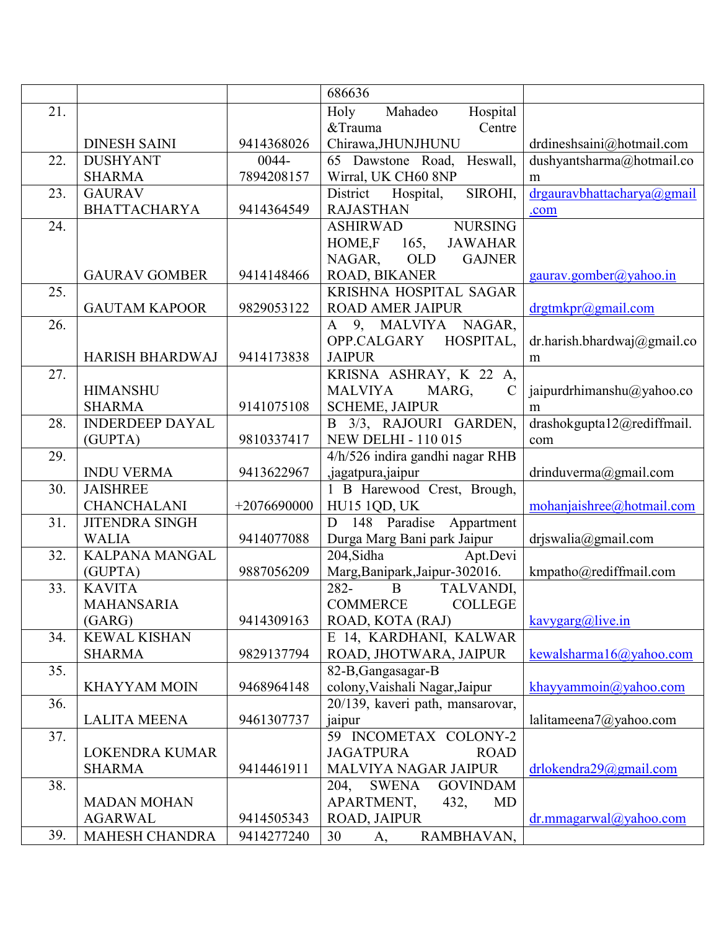|     |                                        |               | 686636                                                  |                                |
|-----|----------------------------------------|---------------|---------------------------------------------------------|--------------------------------|
| 21. |                                        |               | Holy<br>Hospital<br>Mahadeo                             |                                |
|     |                                        |               | Centre<br>&Trauma                                       |                                |
|     | <b>DINESH SAINI</b>                    | 9414368026    | Chirawa, JHUNJHUNU                                      | drdineshsaini@hotmail.com      |
| 22. | <b>DUSHYANT</b>                        | 0044-         | Heswall,<br>65 Dawstone Road,                           | dushyantsharma@hotmail.co      |
|     | <b>SHARMA</b>                          | 7894208157    | Wirral, UK CH60 8NP                                     | m                              |
| 23. | <b>GAURAV</b>                          |               | SIROHI,<br>Hospital,<br>District                        | drgauravbhattacharya@gmail     |
|     | <b>BHATTACHARYA</b>                    | 9414364549    | <b>RAJASTHAN</b>                                        | .com                           |
| 24. |                                        |               | <b>NURSING</b><br><b>ASHIRWAD</b>                       |                                |
|     |                                        |               | HOME,F<br>165,<br><b>JAWAHAR</b>                        |                                |
|     |                                        |               | NAGAR,<br><b>OLD</b><br><b>GAJNER</b>                   |                                |
|     | <b>GAURAV GOMBER</b>                   | 9414148466    | ROAD, BIKANER                                           | gaurav.gomber@yahoo.in         |
| 25. |                                        |               | KRISHNA HOSPITAL SAGAR                                  |                                |
|     | <b>GAUTAM KAPOOR</b>                   | 9829053122    | <b>ROAD AMER JAIPUR</b>                                 | drgtmkpr@gmail.com             |
| 26. |                                        |               | 9, MALVIYA NAGAR,<br>$\mathbf{A}$                       |                                |
|     |                                        |               | HOSPITAL,<br>OPP.CALGARY                                | $dr$ .harish.bhardwaj@gmail.co |
|     | <b>HARISH BHARDWAJ</b>                 | 9414173838    | <b>JAIPUR</b>                                           | m                              |
| 27. |                                        |               | KRISNA ASHRAY, K 22 A,                                  |                                |
|     | <b>HIMANSHU</b>                        |               | <b>MALVIYA</b><br>MARG,<br>$\mathcal{C}$                | jaipurdrhimanshu@yahoo.co      |
|     | <b>SHARMA</b>                          | 9141075108    | <b>SCHEME, JAIPUR</b>                                   | m                              |
| 28. | <b>INDERDEEP DAYAL</b><br>(GUPTA)      | 9810337417    | B 3/3, RAJOURI GARDEN,<br><b>NEW DELHI - 110 015</b>    | drashokgupta12@rediffmail.     |
| 29. |                                        |               | 4/h/526 indira gandhi nagar RHB                         | com                            |
|     | <b>INDU VERMA</b>                      | 9413622967    | ,jagatpura,jaipur                                       | drinduverma@gmail.com          |
| 30. | <b>JAISHREE</b>                        |               | 1 B Harewood Crest, Brough,                             |                                |
|     | <b>CHANCHALANI</b>                     | $+2076690000$ | HU15 1QD, UK                                            | mohanjaishree@hotmail.com      |
| 31. | <b>JITENDRA SINGH</b>                  |               | 148 Paradise<br>Appartment<br>D                         |                                |
|     | <b>WALIA</b>                           | 9414077088    | Durga Marg Bani park Jaipur                             | drjswalia@gmail.com            |
| 32. | KALPANA MANGAL                         |               | Apt.Devi<br>204, Sidha                                  |                                |
|     | (GUPTA)                                | 9887056209    | Marg, Banipark, Jaipur-302016.                          | kmpatho@rediffmail.com         |
| 33. | <b>KAVITA</b>                          |               | $\overline{B}$<br>TALVANDI,<br>$282 -$                  |                                |
|     | <b>MAHANSARIA</b>                      |               | <b>COMMERCE</b><br><b>COLLEGE</b>                       |                                |
|     | (GARG)                                 | 9414309163    | ROAD, KOTA (RAJ)                                        | kavygarg@live.in               |
| 34. | <b>KEWAL KISHAN</b>                    |               | E 14, KARDHANI, KALWAR                                  |                                |
|     | <b>SHARMA</b>                          | 9829137794    | ROAD, JHOTWARA, JAIPUR                                  | kewalsharma16@yahoo.com        |
| 35. |                                        |               | 82-B, Gangasagar-B                                      |                                |
|     | <b>KHAYYAM MOIN</b>                    | 9468964148    | colony, Vaishali Nagar, Jaipur                          | khayyammoin@yahoo.com          |
| 36. |                                        |               | 20/139, kaveri path, mansarovar,                        |                                |
|     | <b>LALITA MEENA</b>                    | 9461307737    | jaipur                                                  | lalitameena7@yahoo.com         |
| 37. |                                        |               | 59 INCOMETAX COLONY-2                                   |                                |
|     | <b>LOKENDRA KUMAR</b><br><b>SHARMA</b> | 9414461911    | <b>JAGATPURA</b><br><b>ROAD</b><br>MALVIYA NAGAR JAIPUR | $d$ rlokendra29@gmail.com      |
| 38. |                                        |               | <b>SWENA</b><br><b>GOVINDAM</b><br>204,                 |                                |
|     | <b>MADAN MOHAN</b>                     |               | APARTMENT,<br>432,<br><b>MD</b>                         |                                |
|     | <b>AGARWAL</b>                         | 9414505343    | ROAD, JAIPUR                                            | $dr$ .mmagarwal@yahoo.com      |
| 39. | <b>MAHESH CHANDRA</b>                  | 9414277240    | 30<br>RAMBHAVAN,<br>A,                                  |                                |
|     |                                        |               |                                                         |                                |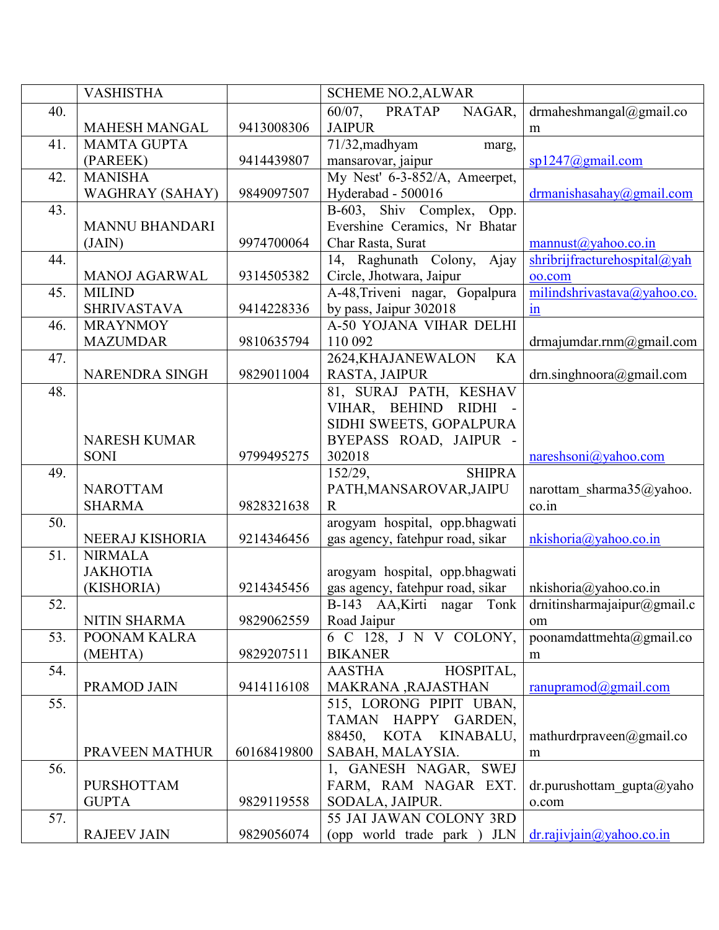|     | <b>VASHISTHA</b>       |             | <b>SCHEME NO.2, ALWAR</b>            |                                        |
|-----|------------------------|-------------|--------------------------------------|----------------------------------------|
| 40. |                        |             | <b>PRATAP</b><br>NAGAR.<br>$60/07$ , | drmaheshmangal@gmail.co                |
|     | <b>MAHESH MANGAL</b>   | 9413008306  | <b>JAIPUR</b>                        | m                                      |
| 41. | <b>MAMTA GUPTA</b>     |             | $71/32$ , madhyam<br>marg,           |                                        |
|     | (PAREEK)               | 9414439807  | mansarovar, jaipur                   | $sp1247$ @gmail.com                    |
| 42. | <b>MANISHA</b>         |             | My Nest' 6-3-852/A, Ameerpet,        |                                        |
|     | <b>WAGHRAY (SAHAY)</b> | 9849097507  | Hyderabad - 500016                   | drmanishasahay@gmail.com               |
| 43. |                        |             | B-603, Shiv Complex, Opp.            |                                        |
|     | <b>MANNU BHANDARI</b>  |             | Evershine Ceramics, Nr Bhatar        |                                        |
|     | (JAIN)                 | 9974700064  | Char Rasta, Surat                    | mannust@yahoo.co.in                    |
| 44. |                        |             | 14, Raghunath Colony, Ajay           | shribrijfracturehospital@yah           |
|     | <b>MANOJ AGARWAL</b>   | 9314505382  | Circle, Jhotwara, Jaipur             | oo.com                                 |
| 45. | <b>MILIND</b>          |             | A-48, Triveni nagar, Gopalpura       | milindshrivastava@yahoo.co.            |
|     | <b>SHRIVASTAVA</b>     | 9414228336  | by pass, Jaipur 302018               | 1n                                     |
| 46. | <b>MRAYNMOY</b>        |             | A-50 YOJANA VIHAR DELHI              |                                        |
|     | <b>MAZUMDAR</b>        | 9810635794  | 110 092                              | drmajumdar.rnm $@g$ mail.com           |
| 47. |                        |             | 2624, KHAJANEWALON<br>KA             |                                        |
|     | NARENDRA SINGH         | 9829011004  | RASTA, JAIPUR                        | drn.singhnoora@gmail.com               |
| 48. |                        |             | 81, SURAJ PATH, KESHAV               |                                        |
|     |                        |             | VIHAR, BEHIND RIDHI                  |                                        |
|     |                        |             | SIDHI SWEETS, GOPALPURA              |                                        |
|     | <b>NARESH KUMAR</b>    |             | BYEPASS ROAD, JAIPUR -               |                                        |
|     | <b>SONI</b>            | 9799495275  | 302018                               | nareshsoni@yahoo.com                   |
| 49. |                        |             | <b>SHIPRA</b><br>$152/29$ ,          |                                        |
|     | <b>NAROTTAM</b>        |             | PATH, MANSAROVAR, JAIPU              |                                        |
|     | <b>SHARMA</b>          | 9828321638  | $\mathbf R$                          | narottam sharma35@yahoo.<br>$\cos$ .in |
| 50. |                        |             | arogyam hospital, opp.bhagwati       |                                        |
|     | NEERAJ KISHORIA        | 9214346456  | gas agency, fatehpur road, sikar     | nkishoria@yahoo.co.in                  |
| 51. | <b>NIRMALA</b>         |             |                                      |                                        |
|     | <b>JAKHOTIA</b>        |             | arogyam hospital, opp.bhagwati       |                                        |
|     | (KISHORIA)             | 9214345456  | gas agency, fatehpur road, sikar     | nkishoria@yahoo.co.in                  |
| 52. |                        |             | B-143 AA, Kirti nagar Tonk           | drnitinsharmajaipur@gmail.c            |
|     | <b>NITIN SHARMA</b>    | 9829062559  | Road Jaipur                          | om                                     |
| 53. | POONAM KALRA           |             | 6 C 128, J N V COLONY,               | poonamdattmehta@gmail.co               |
|     | (MEHTA)                | 9829207511  | <b>BIKANER</b>                       | m                                      |
| 54. |                        |             | <b>AASTHA</b><br>HOSPITAL,           |                                        |
|     | PRAMOD JAIN            | 9414116108  | MAKRANA , RAJASTHAN                  | ranupramod $(a)$ gmail.com             |
| 55. |                        |             | 515, LORONG PIPIT UBAN,              |                                        |
|     |                        |             |                                      |                                        |
|     |                        |             | TAMAN HAPPY GARDEN,                  |                                        |
|     |                        |             | 88450, KOTA KINABALU,                | mathurdrpraveen@gmail.co               |
| 56. | PRAVEEN MATHUR         | 60168419800 | SABAH, MALAYSIA.                     | m                                      |
|     |                        |             | 1, GANESH NAGAR, SWEJ                |                                        |
|     | <b>PURSHOTTAM</b>      |             | FARM, RAM NAGAR EXT.                 | dr.purushottam gupta@yaho              |
|     | <b>GUPTA</b>           | 9829119558  | SODALA, JAIPUR.                      | o.com                                  |
| 57. |                        |             | 55 JAI JAWAN COLONY 3RD              |                                        |
|     | <b>RAJEEV JAIN</b>     | 9829056074  | (opp world trade park) JLN           | $dr$ .rajivjain@yahoo.co.in            |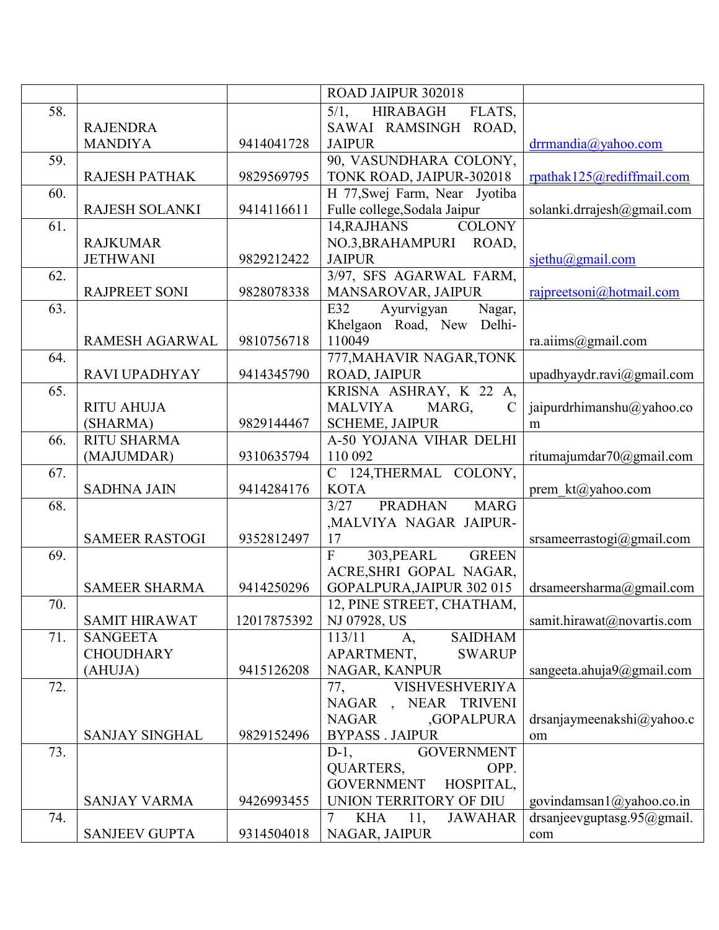|     |                       |             | ROAD JAIPUR 302018                         |                                |
|-----|-----------------------|-------------|--------------------------------------------|--------------------------------|
| 58. |                       |             | HIRABAGH<br>FLATS,<br>$5/1$ ,              |                                |
|     | <b>RAJENDRA</b>       |             | SAWAI RAMSINGH ROAD,                       |                                |
|     | <b>MANDIYA</b>        | 9414041728  | <b>JAIPUR</b>                              | $d$ rmandia@yahoo.com          |
| 59. |                       |             | 90, VASUNDHARA COLONY,                     |                                |
|     | RAJESH PATHAK         | 9829569795  | TONK ROAD, JAIPUR-302018                   | rpathak125@rediffmail.com      |
| 60. |                       |             |                                            |                                |
|     |                       |             | H 77, Swej Farm, Near Jyotiba              |                                |
|     | <b>RAJESH SOLANKI</b> | 9414116611  | Fulle college, Sodala Jaipur               | solanki.drrajesh $@g$ mail.com |
| 61. |                       |             | 14, RAJHANS<br><b>COLONY</b>               |                                |
|     | <b>RAJKUMAR</b>       |             | NO.3, BRAHAMPURI ROAD,                     |                                |
|     | <b>JETHWANI</b>       | 9829212422  | <b>JAIPUR</b>                              | $s$ jethu@gmail.com            |
| 62. |                       |             | 3/97, SFS AGARWAL FARM,                    |                                |
|     | <b>RAJPREET SONI</b>  | 9828078338  | MANSAROVAR, JAIPUR                         | rajpreetsoni@hotmail.com       |
| 63. |                       |             | Ayurvigyan<br>Nagar,<br>E32                |                                |
|     |                       |             | Khelgaon Road, New Delhi-                  |                                |
|     | <b>RAMESH AGARWAL</b> | 9810756718  | 110049                                     | ra.aiims@gmail.com             |
| 64. |                       |             | 777, MAHAVIR NAGAR, TONK                   |                                |
|     | <b>RAVI UPADHYAY</b>  | 9414345790  | ROAD, JAIPUR                               | upadhyaydr.ravi@gmail.com      |
| 65. |                       |             | KRISNA ASHRAY, K 22 A,                     |                                |
|     | <b>RITU AHUJA</b>     |             | <b>MALVIYA</b><br>MARG.<br>$\mathcal{C}$   | jaipurdrhimanshu@yahoo.co      |
|     | (SHARMA)              | 9829144467  | <b>SCHEME, JAIPUR</b>                      | m                              |
| 66. | <b>RITU SHARMA</b>    |             | A-50 YOJANA VIHAR DELHI                    |                                |
|     | (MAJUMDAR)            | 9310635794  | 110 092                                    | ritumajumdar70@gmail.com       |
| 67. |                       |             |                                            |                                |
|     |                       |             | C 124, THERMAL COLONY,                     |                                |
|     | <b>SADHNA JAIN</b>    | 9414284176  | <b>KOTA</b>                                | prem kt@yahoo.com              |
| 68. |                       |             | <b>PRADHAN</b><br><b>MARG</b><br>3/27      |                                |
|     |                       |             | ,MALVIYA NAGAR JAIPUR-                     |                                |
|     | <b>SAMEER RASTOGI</b> | 9352812497  | 17                                         | srsameerrastogi@gmail.com      |
| 69. |                       |             | 303, PEARL<br><b>GREEN</b><br>$\mathbf{F}$ |                                |
|     |                       |             | ACRE, SHRI GOPAL NAGAR,                    |                                |
|     | <b>SAMEER SHARMA</b>  | 9414250296  | GOPALPURA, JAIPUR 302 015                  | drsameersharma@gmail.com       |
| 70. |                       |             | 12, PINE STREET, CHATHAM.                  |                                |
|     | <b>SAMIT HIRAWAT</b>  | 12017875392 | NJ 07928, US                               | samit.hirawat@novartis.com     |
| 71. | <b>SANGEETA</b>       |             | <b>SAIDHAM</b><br>113/11<br>A,             |                                |
|     | <b>CHOUDHARY</b>      |             | APARTMENT,<br><b>SWARUP</b>                |                                |
|     | (AHUJA)               | 9415126208  | NAGAR, KANPUR                              | sangeeta.ahuja $9$ @gmail.com  |
| 72. |                       |             | VISHVESHVERIYA<br>77,                      |                                |
|     |                       |             | NAGAR, NEAR TRIVENI                        |                                |
|     |                       |             | <b>NAGAR</b><br>,GOPALPURA                 | drsanjaymeenakshi $@$ yahoo.c  |
|     | <b>SANJAY SINGHAL</b> | 9829152496  | <b>BYPASS . JAIPUR</b>                     | om                             |
| 73. |                       |             | <b>GOVERNMENT</b><br>$D-1$ ,               |                                |
|     |                       |             | <b>QUARTERS,</b><br>OPP.                   |                                |
|     |                       |             | <b>GOVERNMENT</b><br>HOSPITAL,             |                                |
|     | SANJAY VARMA          | 9426993455  | UNION TERRITORY OF DIU                     | govindamsan1@yahoo.co.in       |
|     |                       |             |                                            |                                |
| 74. |                       |             | KHA<br>11,<br><b>JAWAHAR</b><br>$\tau$     | drsanjeevguptasg.95 $@$ gmail. |
|     | <b>SANJEEV GUPTA</b>  | 9314504018  | NAGAR, JAIPUR                              | com                            |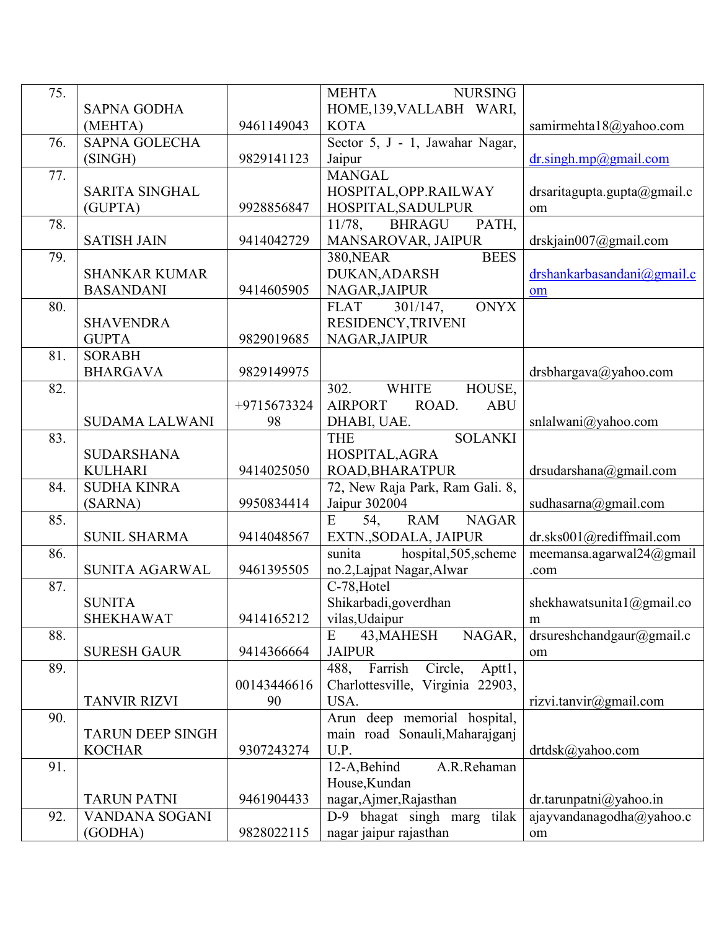| 75. |                                   |             | <b>MEHTA</b><br><b>NURSING</b>              |                                                      |
|-----|-----------------------------------|-------------|---------------------------------------------|------------------------------------------------------|
|     | <b>SAPNA GODHA</b>                |             | HOME, 139, VALLABH WARI,                    |                                                      |
|     | (MEHTA)                           | 9461149043  | <b>KOTA</b>                                 | samirmehta18@yahoo.com                               |
| 76. | <b>SAPNA GOLECHA</b>              |             | Sector 5, J - 1, Jawahar Nagar,             |                                                      |
|     | (SINGH)                           | 9829141123  | Jaipur                                      | $dr \cdot \frac{singh \cdot mp \cdot a)}{g \cdot q}$ |
| 77. |                                   |             | <b>MANGAL</b>                               |                                                      |
|     | <b>SARITA SINGHAL</b>             |             | HOSPITAL, OPP.RAILWAY                       | drsaritagupta.gupta@gmail.c                          |
|     | (GUPTA)                           | 9928856847  | HOSPITAL, SADULPUR                          | om                                                   |
| 78. |                                   |             | 11/78.<br><b>BHRAGU</b><br>PATH,            |                                                      |
|     | <b>SATISH JAIN</b>                | 9414042729  | MANSAROVAR, JAIPUR                          | drskjain007@gmail.com                                |
| 79. |                                   |             | <b>BEES</b><br><b>380, NEAR</b>             |                                                      |
|     | <b>SHANKAR KUMAR</b>              |             | <b>DUKAN, ADARSH</b>                        | drshankarbasandani@gmail.c                           |
|     | <b>BASANDANI</b>                  | 9414605905  | NAGAR, JAIPUR                               | om                                                   |
| 80. |                                   |             | <b>ONYX</b><br><b>FLAT</b><br>$301/147$ ,   |                                                      |
|     | <b>SHAVENDRA</b>                  |             | RESIDENCY, TRIVENI                          |                                                      |
|     | <b>GUPTA</b>                      | 9829019685  | NAGAR, JAIPUR                               |                                                      |
| 81. | <b>SORABH</b>                     |             |                                             |                                                      |
|     | <b>BHARGAVA</b>                   | 9829149975  |                                             | drsbhargava@yahoo.com                                |
| 82. |                                   |             | <b>WHITE</b><br>HOUSE,<br>302.              |                                                      |
|     |                                   | +9715673324 | <b>AIRPORT</b><br>ROAD.<br><b>ABU</b>       |                                                      |
|     | <b>SUDAMA LALWANI</b>             | 98          | DHABI, UAE.                                 | snlalwani@yahoo.com                                  |
| 83. |                                   |             | <b>SOLANKI</b><br><b>THE</b>                |                                                      |
|     | <b>SUDARSHANA</b>                 |             | HOSPITAL, AGRA                              |                                                      |
|     | <b>KULHARI</b>                    | 9414025050  | ROAD, BHARATPUR                             | $dr$ sudarshana@gmail.com                            |
| 84. | <b>SUDHA KINRA</b>                |             | 72, New Raja Park, Ram Gali. 8,             |                                                      |
|     | (SARNA)                           | 9950834414  | Jaipur 302004                               | sudhasarna@gmail.com                                 |
| 85. |                                   |             | <b>RAM</b><br><b>NAGAR</b><br>54,<br>E      |                                                      |
|     | <b>SUNIL SHARMA</b>               | 9414048567  | EXTN., SODALA, JAIPUR                       | dr.sks001@rediffmail.com                             |
| 86. |                                   |             | hospital, 505, scheme<br>sunita             | meemansa.agarwal24@gmail                             |
|     | <b>SUNITA AGARWAL</b>             | 9461395505  | no.2, Lajpat Nagar, Alwar                   | .com                                                 |
| 87. |                                   |             | C-78, Hotel                                 |                                                      |
|     | <b>SUNITA</b><br><b>SHEKHAWAT</b> | 9414165212  | Shikarbadi, goverdhan                       | shekhawatsunita $l$ @gmail.co                        |
| 88. |                                   |             | vilas, Udaipur<br>43, MAHESH<br>NAGAR,<br>E | m                                                    |
|     | <b>SURESH GAUR</b>                | 9414366664  | <b>JAIPUR</b>                               | drsureshchandgaur@gmail.c                            |
| 89. |                                   |             | Farrish<br>Circle,<br>488,<br>Aptt1,        | om                                                   |
|     |                                   | 00143446616 | Charlottesville, Virginia 22903,            |                                                      |
|     | <b>TANVIR RIZVI</b>               | 90          | USA.                                        | rizvi.tanvir $\omega$ gmail.com                      |
| 90. |                                   |             | Arun deep memorial hospital,                |                                                      |
|     | <b>TARUN DEEP SINGH</b>           |             | main road Sonauli, Maharajganj              |                                                      |
|     | <b>KOCHAR</b>                     | 9307243274  | U.P.                                        | drtdsk@yahoo.com                                     |
| 91. |                                   |             | 12-A, Behind<br>A.R.Rehaman                 |                                                      |
|     |                                   |             | House, Kundan                               |                                                      |
|     | <b>TARUN PATNI</b>                | 9461904433  | nagar, Ajmer, Rajasthan                     | $dr$ .tarunpatni@yahoo.in                            |
| 92. | VANDANA SOGANI                    |             | D-9 bhagat singh marg tilak                 | ajayvandanagodha@yahoo.c                             |
|     | (GODHA)                           | 9828022115  | nagar jaipur rajasthan                      | om                                                   |
|     |                                   |             |                                             |                                                      |